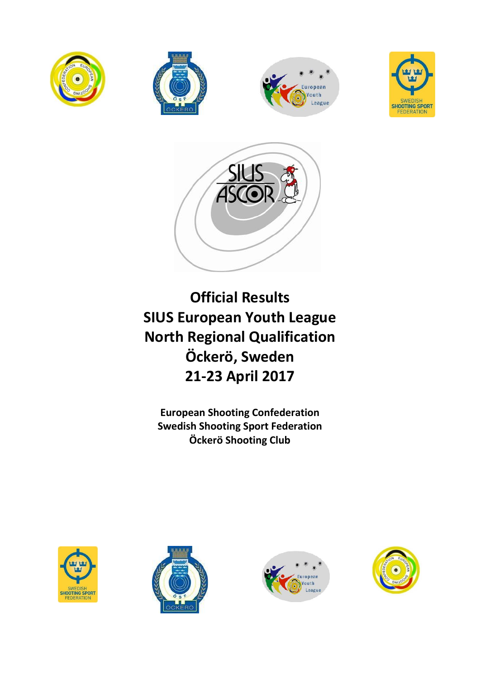









**Official Results SIUS European Youth League North Regional Qualification Öckerö, Sweden 21-23 April 2017** 

**European Shooting Confederation Swedish Shooting Sport Federation Öckerö Shooting Club**







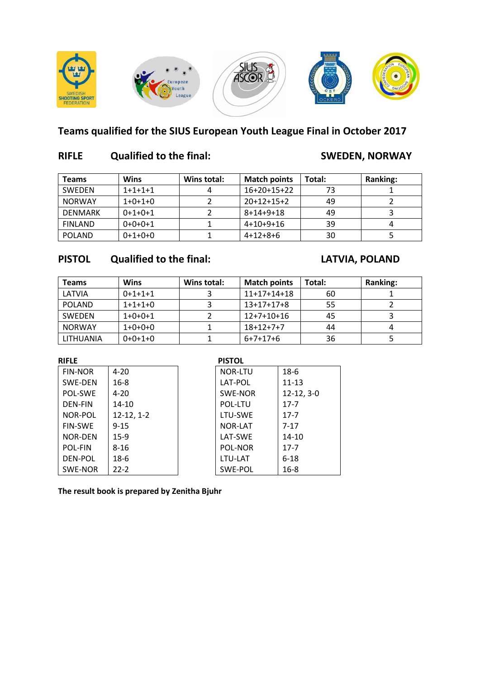

## **Teams qualified for the SIUS European Youth League Final in October 2017**

### **RIFLE Qualified to the final: SWEDEN, NORWAY**

| <b>Teams</b>   | Wins      | Wins total: | <b>Match points</b> | Total: | <b>Ranking:</b> |
|----------------|-----------|-------------|---------------------|--------|-----------------|
| <b>SWEDEN</b>  | $1+1+1+1$ |             | $16+20+15+22$       | 73     |                 |
| <b>NORWAY</b>  | $1+0+1+0$ |             | $20+12+15+2$        | 49     |                 |
| DENMARK        | $0+1+0+1$ |             | $8+14+9+18$         | 49     |                 |
| <b>FINLAND</b> | $0+0+0+1$ |             | $4+10+9+16$         | 39     |                 |
| <b>POLAND</b>  | $0+1+0+0$ |             | $4+12+8+6$          | 30     |                 |

### **PISTOL Qualified to the final: LATVIA, POLAND**

| <b>Teams</b>  | <b>Wins</b> | Wins total: | <b>Match points</b> | Total: | <b>Ranking:</b> |
|---------------|-------------|-------------|---------------------|--------|-----------------|
| LATVIA        | $0+1+1+1$   |             | $11+17+14+18$       | 60     |                 |
| <b>POLAND</b> | $1+1+1+0$   |             | $13+17+17+8$        | 55     |                 |
| SWEDEN        | $1+0+0+1$   |             | $12+7+10+16$        | 45     |                 |
| <b>NORWAY</b> | $1+0+0+0$   |             | $18+12+7+7$         | 44     |                 |
| LITHUANIA     | $0+0+1+0$   |             | $6+7+17+6$          | 36     |                 |

| <b>RIFLE</b>   |              | <b>PISTOL</b>  |              |
|----------------|--------------|----------------|--------------|
| <b>FIN-NOR</b> | $4 - 20$     | <b>NOR-LTU</b> | $18-6$       |
| SWE-DEN        | $16 - 8$     | LAT-POL        | $11 - 13$    |
| POL-SWE        | $4 - 20$     | SWE-NOR        | $12-12, 3-0$ |
| <b>DEN-FIN</b> | $14 - 10$    | POL-LTU        | $17 - 7$     |
| NOR-POL        | $12-12, 1-2$ | LTU-SWE        | $17 - 7$     |
| <b>FIN-SWE</b> | $9 - 15$     | NOR-LAT        | $7 - 17$     |
| <b>NOR-DEN</b> | $15-9$       | LAT-SWE        | $14 - 10$    |
| <b>POL-FIN</b> | $8 - 16$     | POL-NOR        | $17 - 7$     |
| DEN-POL        | $18-6$       | LTU-LAT        | $6 - 18$     |
| SWE-NOR        | $22 - 2$     | SWE-POL        | $16 - 8$     |

**The result book is prepared by Zenitha Bjuhr**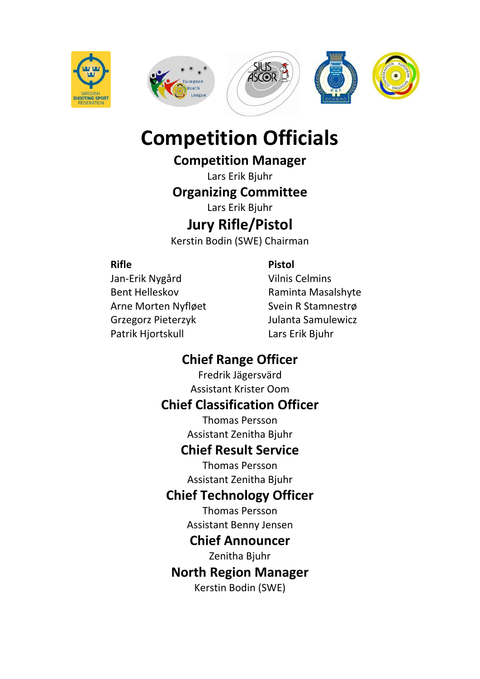







# **Competition Officials**

# **Competition Manager**

Lars Erik Bjuhr

# **Organizing Committee**

Lars Erik Bjuhr

# **Jury Rifle/Pistol**

Kerstin Bodin (SWE) Chairman

### **Rifle Pistol**

Jan-Erik Nygård Vilnis Celmins Bent Helleskov **Raminta Masalshyte** Arne Morten Nyfløet Svein R Stamnestrø Grzegorz Pieterzyk Julanta Samulewicz Patrik Hjortskull Lars Erik Bjuhr

# **Chief Range Officer**

Fredrik Jägersvärd Assistant Krister Oom

# **Chief Classification Officer**

Thomas Persson Assistant Zenitha Bjuhr

# **Chief Result Service**

Thomas Persson Assistant Zenitha Bjuhr

# **Chief Technology Officer**

Thomas Persson Assistant Benny Jensen

# **Chief Announcer**

Zenitha Bjuhr

# **North Region Manager**

Kerstin Bodin (SWE)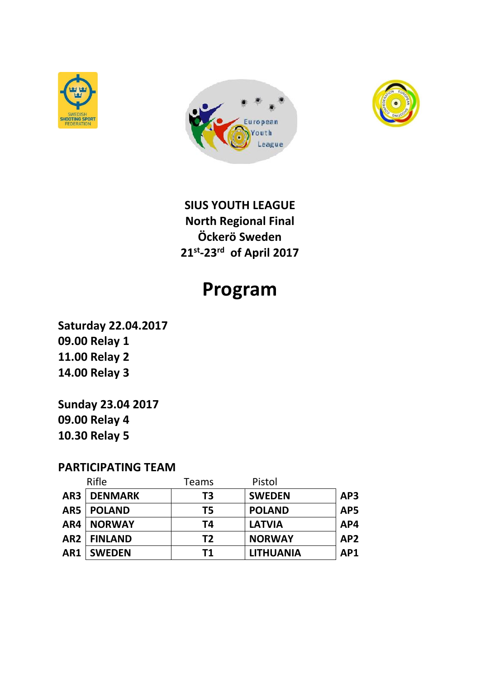





**SIUS YOUTH LEAGUE North Regional Final Öckerö Sweden 21st -23rd of April 2017**

# **Program**

**Saturday 22.04.2017 09.00 Relay 1 11.00 Relay 2 14.00 Relay 3**

**Sunday 23.04 2017 09.00 Relay 4 10.30 Relay 5**

#### **PARTICIPATING TEAM**

|     | Rifle                | Teams          | Pistol           |                 |
|-----|----------------------|----------------|------------------|-----------------|
|     | <b>AR3   DENMARK</b> | T3             | <b>SWEDEN</b>    | AP3             |
|     | AR5   POLAND         | T5             | <b>POLAND</b>    | AP5             |
| AR4 | <b>NORWAY</b>        | T4             | <b>LATVIA</b>    | AP4             |
|     | AR2   FINLAND        | T <sub>2</sub> | <b>NORWAY</b>    | AP <sub>2</sub> |
| AR1 | <b>SWEDEN</b>        | T1             | <b>LITHUANIA</b> | AP1             |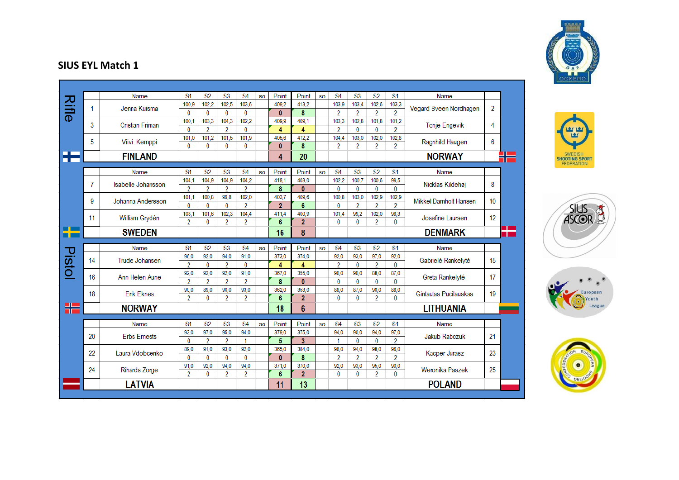|        |    | Name                      | <b>S1</b>      | <b>S2</b>      | S <sub>3</sub> | <b>S4</b>      | <b>SO</b> | Point          | Point               | <b>SO</b> | <b>S4</b>      | S <sub>3</sub> | S <sub>2</sub> | S <sub>1</sub> | Name                   |    |
|--------|----|---------------------------|----------------|----------------|----------------|----------------|-----------|----------------|---------------------|-----------|----------------|----------------|----------------|----------------|------------------------|----|
| Rifle  | 1  | Jenna Kuisma              | 100,9          | 102,2          | 102.5          | 103,6          |           | 409.2          | 413,2               |           | 103,9          | 103,4          | 102,6          | 103,3          | Vegard Sveen Nordhagen | 2  |
|        |    |                           | $\bf{0}$       | 0              | $\mathbf{0}$   | $\bf{0}$       |           | $\mathbf{0}$   | 8                   |           | $\overline{2}$ | 2              | $\overline{2}$ | $\overline{2}$ |                        |    |
|        | 3  | <b>Cristian Friman</b>    | 100,1          | 103,3          | 104,3          | 102,2          |           | 409,9          | 409,1               |           | 103,3          | 102,8          | 101,8          | 101,2          |                        | 4  |
|        |    |                           | $\bf{0}$       | $\overline{2}$ | $\overline{2}$ | $\bf{0}$       |           | 4              | 4                   |           | $\overline{2}$ | 0              | 0              | $\overline{2}$ | <b>Tonje Engevik</b>   |    |
|        | 5  |                           | 101.0          | 101.2          | 101.5          | 101.9          |           | 405.6          | 412.2               |           | 104,4          | 103.0          | 102,0          | 102,8          |                        | 6  |
|        |    | Viivi Kemppi              | $\Omega$       | $\Omega$       | $\mathbf{0}$   | $\bf{0}$       |           | $\mathbf{0}$   | 8                   |           | $\overline{2}$ | 2              | 2              | $\overline{2}$ | Ragnhild Haugen        |    |
| æ      |    | <b>FINLAND</b>            |                |                |                |                |           | 4              | 20                  |           |                |                |                |                | <b>NORWAY</b>          |    |
|        |    | Name                      | <b>S1</b>      | <b>S2</b>      | <b>S3</b>      | <b>S4</b>      | <b>SO</b> | Point          | Point               | <b>SO</b> | <b>S4</b>      | <b>S3</b>      | <b>S2</b>      | S <sub>1</sub> | Name                   |    |
|        |    |                           | 104.1          | 104.9          | 104.9          | 104.2          |           | 418.1          | 403.0               |           | 102.2          | 100.7          | 100.6          | 99.5           |                        |    |
|        | 7  | <b>Isabelle Johansson</b> | 2              | 2              | 2              | 2              |           | 8              | $\mathbf{0}$        |           | 0              | $\bf{0}$       | 0              | $\mathbf{0}$   | Nicklas Kildehøj       | 8  |
|        |    |                           | 101.1          | 100.8          | 99.8           | 102.0          |           | 403.7          | 409.6               |           | 100.8          | 103.0          | 102.9          | 102.9          |                        |    |
|        | 9  | Johanna Andersson         | $\bf{0}$       | $\bf{0}$       | $\Omega$       | $\overline{2}$ |           | $\overline{2}$ | 6                   |           | $\bf{0}$       | 2              | $\overline{2}$ | $\overline{2}$ | Mikkel Damholt Hansen  | 10 |
|        |    |                           | 103,1          | 101,6          | 102,3          | 104,4          |           | 411.4          | 400,9               |           | 101,4          | 99.2           | 102,0          | 98,3           |                        |    |
|        | 11 | William Grydèn            | $\overline{2}$ | 0              | 2              | $\overline{2}$ |           | 6              | $\overline{2}$      |           | 0              | 0              | $\overline{2}$ | $\mathbf{0}$   | Josefine Laursen       | 12 |
|        |    | <b>SWEDEN</b>             |                |                |                |                |           | 16             | 8                   |           |                |                |                |                | <b>DENMARK</b>         |    |
|        |    | Name                      | S <sub>1</sub> | <b>S2</b>      | <b>S3</b>      | <b>S4</b>      |           | Point          | Point               |           | <b>S4</b>      | <b>S3</b>      | <b>S2</b>      | S <sub>1</sub> | Name                   |    |
|        |    |                           | 96,0           | 92.0           | 94,0           | 91.0           | <b>SO</b> | 373,0          | 374,0               | <b>SO</b> | 92.0           | 93,0           | 97.0           | 92,0           |                        |    |
|        | 14 | Trude Johansen            |                |                |                |                |           |                |                     |           |                |                |                |                | Gabrielé Rankelyté     | 15 |
|        |    |                           |                |                |                |                |           |                |                     |           |                |                |                |                |                        |    |
|        |    |                           | $\overline{2}$ | 0              | $\overline{2}$ | $\bf{0}$       |           | 4              | 4                   |           | 2              | 0              | $\overline{2}$ | $\mathbf{0}$   |                        |    |
|        | 16 | Ann Helen Aune            | 92,0           | 92,0           | 92,0           | 91,0           |           | 367.0          | 355,0               |           | 90,0           | 90.0           | 88,0           | 87,0           | Greta Rankelyté        | 17 |
|        |    |                           | $\overline{2}$ | $\overline{2}$ | $\overline{2}$ | $\overline{2}$ |           | 8              | $\mathbf{0}$        |           | 0              | 0              | 0              | $\mathbf{0}$   |                        |    |
|        | 18 | <b>Erik Eknes</b>         | 90.0           | 89.0           | 90.0           | 93.0           |           | 362.0          | 353,0               |           | 88.0           | 87.0           | 90,0           | 88,0           | Gintautas Pucilauskas  |    |
| Pistol |    |                           | 2              | 0              | 2              | $\overline{2}$ |           | 6<br>18        | $\overline{2}$<br>6 |           | 0              | 0              | 2              | $\mathbf{0}$   | <b>LITHUANIA</b>       |    |
|        |    | <b>NORWAY</b>             |                |                |                |                |           |                |                     |           |                |                |                |                |                        | 19 |
| H      |    | Name                      | <b>S1</b>      | <b>S2</b>      | <b>S3</b>      | <b>S4</b>      | <b>SO</b> | Point          | Point               | <b>SO</b> | <b>S4</b>      | <b>S3</b>      | <b>S2</b>      | S <sub>1</sub> | Name                   |    |
|        |    |                           | 93,0           | 97,0           | 95,0           | 94,0           |           | 379.0          | 375,0               |           | 94,0           | 90.0           | 94,0           | 97,0           |                        |    |
|        | 20 | <b>Erbs Ernests</b>       | $\bf{0}$       | $\overline{2}$ | $\overline{2}$ | 1              |           | 5              | 3                   |           |                | 0              | 0              | $\overline{2}$ | Jakub Rabczuk          | 21 |
|        |    |                           | 89.0           | 91.0           | 93,0           | 92.0           |           | 365,0          | 384,0               |           | 96.0           | 94.0           | 98,0           | 96,0           |                        |    |
|        | 22 | Laura Vdobcenko           | $\bf{0}$       | $\bf{0}$       | $\mathbf{0}$   | 0              |           | $\mathbf{0}$   | 8                   |           | 2              | 2              | $\overline{2}$ | 2              | Kacper Jurasz          | 23 |
|        |    |                           | 91,0           | 92,0           | 94,0           | 94,0           |           | 371,0          | 370,0               |           | 92,0           | 93,0           | 95,0           | 90,0           |                        |    |
|        | 24 | <b>Rihards Zorge</b>      | $\overline{2}$ | 0              | $\overline{2}$ | $\overline{2}$ |           | 6              | $\overline{2}$      |           | 0              | 0              | $\overline{2}$ | $\bf{0}$       | Weronika Paszek        | 25 |









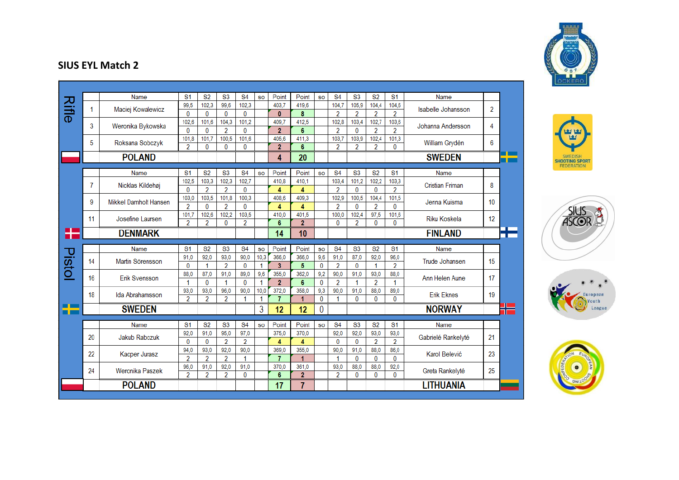|        |    | Name                  | S <sub>1</sub>          | S <sub>2</sub>          | <b>S3</b>              | <b>S4</b>      | <b>SO</b>  | Point                   | Point          | <b>SO</b> | <b>S4</b>      | <b>S3</b>            | <b>S2</b>      | <b>S1</b>      | Name                      |                  |
|--------|----|-----------------------|-------------------------|-------------------------|------------------------|----------------|------------|-------------------------|----------------|-----------|----------------|----------------------|----------------|----------------|---------------------------|------------------|
| Rifle  | 1  | Maciej Kowalewicz     | 99,5                    | 102,3                   | 99,6                   | 102,3          |            | 403.7                   | 419,6          |           | 104,7          | 105,9                | 104,4          | 104,6          | <b>Isabelle Johansson</b> | 2                |
|        |    |                       | 0                       | 0                       | 0                      | 0              |            | $\mathbf{0}$            | 8              |           | $\overline{2}$ | $\overline{2}$       | $\overline{2}$ | $\overline{2}$ |                           |                  |
|        | 3  | Weronika Bykowska     | 102,6                   | 101,6                   | 104,3                  | 101,2          |            | 409,7                   | 412,5          |           | 102,8          | 103,4                | 102,7          | 103,6          | Johanna Andersson         | 4                |
|        |    |                       | 0                       | $\bf{0}$                | $\overline{2}$         | $\mathbf{0}$   |            | $\overline{2}$          | 6              |           | $\overline{2}$ | $\mathbf{0}$         | $\overline{2}$ | $\overline{2}$ |                           |                  |
|        | 5  | Roksana Sobczyk       | 101,8                   | 101.7                   | 100,5                  | 101.6          |            | 405.6                   | 411.3          |           | 103.7          | 103,9                | 102,4          | 101.3          | William Grydèn            | 6                |
|        |    |                       | $\overline{2}$          | $\bf{0}$                | $\mathbf{0}$           | 0              |            | $\overline{2}$          | 6              |           | $\overline{2}$ | 2                    | 2              | $\mathbf{0}$   |                           |                  |
|        |    | <b>POLAND</b>         |                         |                         |                        |                |            | 4                       | 20             |           |                |                      |                |                | <b>SWEDEN</b>             |                  |
|        |    |                       |                         |                         |                        |                |            |                         |                |           |                |                      |                |                |                           |                  |
|        |    | Name                  | <b>S1</b>               | <b>S2</b>               | <b>S3</b>              | <b>S4</b>      | <b>SO</b>  | Point                   | Point          | <b>SO</b> | <b>S4</b>      | <b>S3</b>            | <b>S2</b>      | S <sub>1</sub> | Name                      |                  |
|        | 7  | Nicklas Kildehøj      | 102,5                   | 103,3                   | 102.3                  | 102.7          |            | 410.8                   | 410.1          |           | 103,4          | 101,2                | 102.2          | 103,3          | <b>Cristian Friman</b>    | 8                |
|        |    |                       | 0                       | $\overline{2}$          | $\overline{2}$         | 0              |            | 4                       | 4              |           | $\overline{2}$ | $\mathbf{0}$         | $\mathbf{0}$   | $\overline{2}$ |                           |                  |
|        | 9  | Mikkel Damholt Hansen | 103,0                   | 103,5                   | 101.8                  | 100,3          |            | 408.6                   | 409,3          |           | 102,9          | 100,5                | 104.4          | 101.5          | Jenna Kuisma              | 10 <sup>10</sup> |
|        |    |                       | $\overline{2}$          | $\bf{0}$                | $\overline{2}$         | $\mathbf{0}$   |            | 4                       | 4              |           | $\overline{2}$ | $\mathbf{0}$         | $\overline{2}$ | 0              |                           |                  |
|        | 11 | Josefine Laursen      | 101,7                   | 102,6                   | 102.2                  | 103.5          |            | 410.0                   | 401.5          |           | 100,0          | 102.4                | 97.5           | 101,6          | <b>Riku Koskela</b>       | 12               |
|        |    |                       | $\overline{\mathbf{2}}$ | $\overline{\mathbf{2}}$ | $\bf{0}$               | $\overline{2}$ |            | 6                       | $\overline{2}$ |           | $\bf{0}$       | $\overline{2}$       | $\bf{0}$       | $\bf{0}$       |                           |                  |
| ட      |    | <b>DENMARK</b>        |                         |                         |                        |                |            | 14                      | 10             |           |                |                      |                |                | <b>FINLAND</b>            |                  |
|        |    |                       |                         |                         |                        |                |            |                         |                |           |                |                      |                |                |                           |                  |
|        |    |                       |                         |                         |                        |                |            |                         |                |           |                |                      |                |                |                           |                  |
|        |    | Name                  | S <sub>1</sub>          | <b>S2</b>               | <b>S3</b>              | <b>S4</b>      | <b>SO</b>  | Point                   | Point          | <b>SO</b> | <b>S4</b>      | <b>S3</b>            | <b>S2</b>      | S <sub>1</sub> | Name                      |                  |
|        | 14 | Martin Sörensson      | 91.0                    | 92.0                    | 93.0                   | 90.0           | 10,3       | 366.0                   | 366.0          | 9.6       | 91,0           | 87.0                 | 92.0           | 96,0           | Trude Johansen            | 15               |
|        |    |                       | $\bf{0}$                | 1                       | $\overline{2}$         | $\bf{0}$       | 1          | $\overline{\mathbf{3}}$ | 5              | 0         | $\overline{2}$ | $\bf{0}$             | 1              | $\overline{2}$ |                           |                  |
|        | 16 | Erik Svensson         | 88.0                    | 87.0                    | 91.0                   | 89.0           | 9.6        | 355.0                   | 362.0          | 9.2       | 90.0           | 91.0                 | 93.0           | 88.0           | Ann Helen Aune            | 17               |
|        |    |                       | 1                       | $\mathbf{0}$            | 1                      | $\mathbf{0}$   | -1         | $\overline{2}$          | 6              | 0         | $\overline{2}$ |                      | $\overline{2}$ | 1              |                           |                  |
|        | 18 | Ida Abrahamsson       | 93,0<br>$\overline{2}$  | 93,0<br>2               | 96.0<br>$\overline{2}$ | 90.0<br>1      | 10,0<br>-1 | 372,0<br>$\overline{7}$ | 358,0<br>1     | 9,3<br>0  | 90,0<br>1      | 91.0<br>$\mathbf{0}$ | 88,0<br>0      | 89,0<br>0      | <b>Erik Eknes</b>         | 19               |
|        |    |                       |                         |                         |                        |                |            |                         |                |           |                |                      |                |                |                           |                  |
|        |    | <b>SWEDEN</b>         |                         |                         |                        |                | 3          | 12                      | 12             | 0         |                |                      |                |                | <b>NORWAY</b>             |                  |
|        |    | Name                  | S <sub>1</sub>          | <b>S2</b>               | <b>S3</b>              | <b>S4</b>      | <b>SO</b>  | Point                   | Point          | <b>SO</b> | <b>S4</b>      | <b>S3</b>            | <b>S2</b>      | S <sub>1</sub> | Name                      |                  |
|        |    |                       | 92,0                    | 91.0                    | 95,0                   | 97,0           |            | 375.0                   | 370.0          |           | 92,0           | 92,0                 | 93,0           | 93,0           |                           |                  |
|        | 20 | Jakub Rabczuk         | 0                       | 0                       | 2                      | $\overline{2}$ |            | 4                       | 4              |           | $\mathbf{0}$   | $\mathbf{0}$         | $\overline{2}$ | $\overline{2}$ | Gabrielé Rankelyté        | 21               |
|        |    |                       | 94,0                    | 93,0                    | 92,0                   | 90,0           |            | 369,0                   | 355,0          |           | 90,0           | 91,0                 | 88,0           | 86,0           |                           |                  |
|        | 22 | Kacper Jurasz         | $\overline{2}$          | $\overline{2}$          | $\overline{2}$         | 1              |            | $\overline{7}$          | 1              |           | 1              | $\mathbf{0}$         | $\bf{0}$       | $\bf{0}$       | Karol Belević             | 23               |
|        |    |                       | 96,0                    | 91,0                    | 92,0                   | 91,0           |            | 370.0                   | 361,0          |           | 93,0           | 88,0                 | 88,0           | 92,0           |                           |                  |
| Pistol | 24 | Weronika Paszek       | $\overline{2}$          | $\overline{2}$          | $\overline{2}$         | 0              |            | 6                       | $\overline{2}$ |           | $\overline{2}$ | $\bf{0}$             | $\bf{0}$       | $\bf{0}$       | Greta Rankelyté           | 25               |
|        |    | <b>POLAND</b>         |                         |                         |                        |                |            | 17                      | 7              |           |                |                      |                |                | <b>LITHUANIA</b>          |                  |









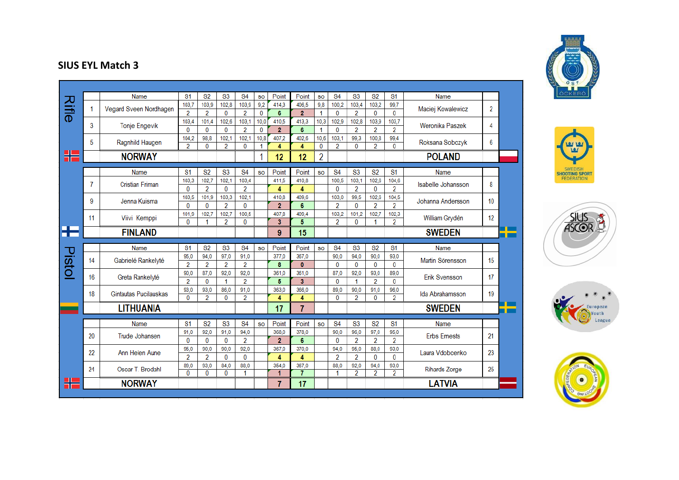|        |    | Name                   | S <sub>1</sub> | <b>S2</b>      | <b>S3</b>      | S <sub>4</sub>         | <b>SO</b> | Point          | Point          | <b>SO</b>      | <b>S4</b>    | <b>S3</b>      | <b>S2</b>              | S <sub>1</sub> | Name                      |                |  |
|--------|----|------------------------|----------------|----------------|----------------|------------------------|-----------|----------------|----------------|----------------|--------------|----------------|------------------------|----------------|---------------------------|----------------|--|
|        | 1  | Vegard Sveen Nordhagen | 103,7          | 103,9          | 102,8          | 103,9                  | 9,2       | 414.3          | 406.5          | 9,8            | 100,2        | 103,4          | 103,2                  | 99,7           | Maciej Kowalewicz         | $\overline{2}$ |  |
| Rifle  |    |                        | $\overline{2}$ | $\overline{2}$ | $\bf{0}$       | $\overline{2}$         | $\bf{0}$  | 6              | $\overline{2}$ | 1              | $\bf{0}$     | $\overline{2}$ | 0                      | $\mathbf{0}$   |                           |                |  |
|        | 3  | <b>Tonje Engevik</b>   | 103,4          | 101,4          | 102,6          | 103,1                  | 10,0      | 410.5          | 413,3          | 10,3           | 102,9        | 102.8          | 103,9                  | 103,7          | Weronika Paszek           | 4              |  |
|        |    |                        | 0              | $\mathbf{0}$   | $\bf{0}$       | $\overline{2}$         | $\bf{0}$  | $\overline{2}$ | 6              | 1              | $\mathbf{0}$ | $\overline{2}$ | $\overline{2}$         | $\overline{2}$ |                           |                |  |
|        | 5  | Ragnhild Haugen        | 104.2          | 98,8           | 102.1          | 102.1                  | 10,8      | 407.2          | 402.6          | 10.6           | 103.1        | 99.3           | 100,8                  | 99.4           | Roksana Sobczyk           | 6              |  |
|        |    |                        | $\mathfrak{p}$ | $\mathbf{0}$   | $\overline{2}$ | $\mathbf{0}$           | 1         | 4              | 4              | $\mathbf{0}$   | 2            | $\mathbf{0}$   | 2                      | $\mathbf{0}$   |                           |                |  |
| ╬      |    | <b>NORWAY</b>          |                |                |                |                        | 1         | 12             | 12             | 2              |              |                |                        |                | <b>POLAND</b>             |                |  |
|        |    |                        |                |                |                |                        |           |                |                |                |              |                |                        |                |                           |                |  |
|        |    | Name                   | S <sub>1</sub> | <b>S2</b>      | <b>S3</b>      | <b>S4</b>              | <b>SO</b> | Point          | Point          | <b>SO</b>      | <b>S4</b>    | S <sub>3</sub> | S <sub>2</sub>         | S <sub>1</sub> | Name                      |                |  |
|        | 7  | <b>Cristian Friman</b> | 103,3          | 102,7          | 102.1          | 103,4                  |           | 411.5          | 410,8          |                | 100,5        | 103.1          | 102.6                  | 104,6          | <b>Isabelle Johansson</b> | 8              |  |
|        |    |                        | 0              | $\overline{2}$ | $\bf{0}$       | $\overline{2}$         |           | 4              | 4              |                | $\bf{0}$     | $\overline{2}$ | 0                      | $\overline{2}$ |                           |                |  |
|        | 9  | Jenna Kuisma           | 103.5          | 101.9          | 103.3          | 102.1                  |           | 410.8          | 409.6          |                | 103.0        | 99.5           | 102.6                  | 104.5          | Johanna Andersson         | 10             |  |
|        |    |                        | $\mathbf{0}$   | $\mathbf{0}$   | $\overline{2}$ | $\Omega$               |           | $\overline{2}$ | 6              |                | 2            | $\mathbf{0}$   | 2                      | $\mathcal{P}$  |                           |                |  |
|        | 11 | Viivi Kemppi           | 101,9          | 102,7          | 102,7          | 100,5                  |           | 407,8          | 409,4          |                | 103,2        | 101,2          | 102,7                  | 102,3          | William Grydèn            | 12             |  |
|        |    |                        | $\mathbf{0}$   | 1              | $\overline{2}$ | $\bf{0}$               |           | 3              | 5              |                | 2            | 0              | 1                      | 2              |                           |                |  |
| Æ      |    | <b>FINLAND</b>         |                |                |                |                        |           | 9              | 15             |                |              |                |                        |                | <b>SWEDEN</b>             |                |  |
|        |    |                        |                |                |                |                        |           |                |                |                |              |                |                        |                |                           |                |  |
|        |    |                        |                |                |                |                        |           |                |                |                |              |                |                        |                |                           |                |  |
|        |    | Name                   | <b>S1</b>      | <b>S2</b>      | <b>S3</b>      | <b>S4</b>              | <b>SO</b> | Point          | Point          | <b>SO</b>      | <b>S4</b>    | <b>S3</b>      | <b>S2</b>              | <b>S1</b>      | Name                      |                |  |
|        | 14 | Gabrielé Rankelyté     | 95,0           | 94,0           | 97,0           | 91,0                   |           | 377.0          | 367.0          |                | 90,0         | 94,0           | 90.0                   | 93,0           | Martin Sörensson          | 15             |  |
|        |    |                        | $\overline{2}$ | $\overline{2}$ | $\overline{2}$ | $\overline{2}$         |           | 8              | $\mathbf{0}$   |                | $\bf{0}$     | $\bf{0}$       | $\bf{0}$               | 0              |                           |                |  |
| Pistol | 16 | Greta Rankelyté        | 90.0           | 87.0           | 92.0           | 92.0                   |           | 361.0          | 361.0          |                | 87,0         | 92.0           | 93.0                   | 89.0           | Erik Svensson             | 17             |  |
|        |    |                        | $\overline{2}$ | $\bf{0}$       | 1              | $\overline{2}$         |           | 5              | 3              |                | $\bf{0}$     |                | $\overline{2}$         | 0              |                           |                |  |
|        | 18 | Gintautas Pucilauskas  | 93,0           | 93,0           | 86.0           | 91,0                   |           | 363.0          | 366.0          |                | 89,0         | 90,0           | 91,0                   | 96,0           | Ida Abrahamsson           | 19             |  |
|        |    |                        | $\bf{0}$       | $\overline{2}$ | $\bf{0}$       | $\overline{2}$         |           | 4              | 4              |                | $\bf{0}$     | $\overline{2}$ | 0                      | $\overline{2}$ |                           |                |  |
|        |    | <b>LITHUANIA</b>       |                |                |                |                        |           | 17             | 7              |                |              |                |                        |                | <b>SWEDEN</b>             |                |  |
|        |    | Name                   | <b>S1</b>      | <b>S2</b>      | <b>S3</b>      |                        | <b>SO</b> | Point          | Point          | S <sub>O</sub> |              | <b>S3</b>      | <b>S2</b>              | <b>S1</b>      | Name                      |                |  |
|        |    |                        | 91.0           |                | 91.0           | <b>S4</b>              |           | 368.0          |                |                | <b>S4</b>    | 96.0           |                        |                |                           |                |  |
|        | 20 | Trude Johansen         | $\bf{0}$       | 92,0<br>0      | 0              | 94,0<br>$\overline{2}$ |           | $\overline{2}$ | 378,0<br>6     |                | 90,0<br>0    | $\overline{2}$ | 97,0<br>$\overline{2}$ | 95,0<br>2      | <b>Erbs Ernests</b>       | 21             |  |
|        |    |                        | 95.0           | 90,0           | 90,0           | 92,0                   |           | 367,0          | 370,0          |                | 94,0         | 95.0           | 88,0                   | 93,0           |                           |                |  |
|        | 22 | Ann Helen Aune         | 2              | $\overline{2}$ | $\bf{0}$       | $\mathbf{0}$           |           | 4              | 4              |                | 2            | $\overline{2}$ | $\bf{0}$               | 0              | Laura Vdobcenko           | 23             |  |
|        |    |                        | 89,0           | 93,0           | 84.0           | 88,0                   |           | 354.0          | 367,0          |                | 88,0         | 92,0           | 94,0                   | 93,0           |                           |                |  |
|        | 24 | Oscar T. Brodahl       | 0              | 0              | 0              | 1                      |           | 1              | 7              |                | 1            | 2              | 2                      | 2              | <b>Rihards Zorge</b>      | 25             |  |
|        |    | <b>NORWAY</b>          |                |                |                |                        |           | 7              | 17             |                |              |                |                        |                | <b>LATVIA</b>             |                |  |









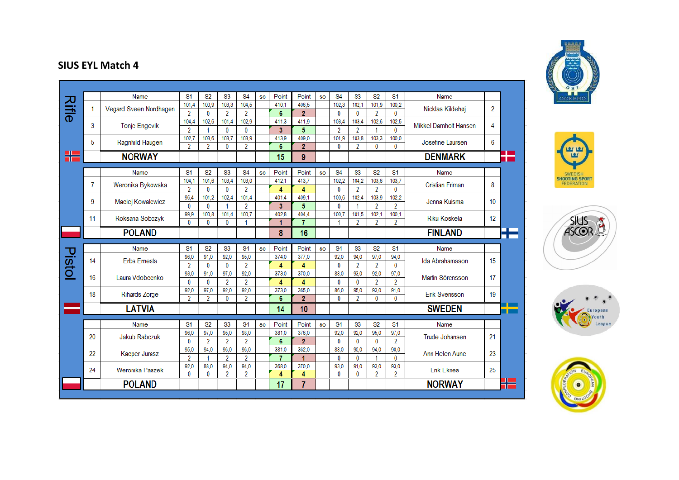| <b>Rifle</b> |    | Name                   | S <sub>1</sub> | S <sub>2</sub> | <b>S3</b>              | <b>S4</b>              | <b>SO</b> | Point | Point                   | <b>SO</b> | <b>S4</b>      | <b>S3</b>            | <b>S2</b>        | <b>S1</b>              | Name                   |    |  |
|--------------|----|------------------------|----------------|----------------|------------------------|------------------------|-----------|-------|-------------------------|-----------|----------------|----------------------|------------------|------------------------|------------------------|----|--|
|              | 1  | Vegard Sveen Nordhagen | 101,4          | 100,9          | 103,3                  | 104,5                  |           | 410,1 | 406.5                   |           | 102,3          | 102,1                | 101,9            | 100,2                  | Nicklas Kildehøi       | 2  |  |
|              |    |                        | $\overline{2}$ | 0              | $\overline{2}$         | $\overline{2}$         |           | 6     | $\overline{2}$          |           | $\bf{0}$       | $\mathbf{0}$         | $\overline{2}$   | 0                      |                        |    |  |
|              | 3  | <b>Tonje Engevik</b>   | 104,4          | 102.6          | 101.4                  | 102.9                  |           | 411.3 | 411,9                   |           | 103,4          | 103,4                | 102.6            | 102.5                  | Mikkel Damholt Hansen  | 4  |  |
|              |    |                        | $\overline{2}$ | 1              | $\mathbf{0}$           | $\mathbf{0}$           |           | 3     | 5                       |           | $\overline{2}$ | $\overline{2}$       | 1                | $\mathbf{0}$           |                        |    |  |
|              | 5  | Ragnhild Haugen        | 102,7          | 103,6          | 103.7                  | 103,9                  |           | 413,9 | 409,0                   |           | 101,9          | 103,8                | 103,3            | 100,0                  | Josefine Laursen       | 6  |  |
|              |    |                        | $\overline{2}$ | 2              | $\bf{0}$               | $\overline{2}$         |           | 6     | $\overline{2}$          |           | $\bf{0}$       | $\overline{2}$       | $\bf{0}$         | $\Omega$               |                        |    |  |
| Æ            |    | <b>NORWAY</b>          |                |                |                        |                        |           | 15    | 9                       |           |                |                      |                  |                        | <b>DENMARK</b>         |    |  |
|              |    |                        |                |                |                        |                        |           |       |                         |           |                |                      |                  |                        |                        |    |  |
|              |    | Name                   | S <sub>1</sub> | <b>S2</b>      | S <sub>3</sub>         | <b>S4</b>              | <b>SO</b> | Point | Point                   | <b>SO</b> | <b>S4</b>      | <b>S3</b>            | S <sub>2</sub>   | S <sub>1</sub>         | Name                   |    |  |
|              | 7  | Weronika Bykowska      | 104.1          | 101.6          | 103,4                  | 103,0                  |           | 412.1 | 413,7                   |           | 102.2          | 104.2                | 103,6            | 103,7                  | <b>Cristian Friman</b> | 8  |  |
|              |    |                        | $\overline{2}$ | $\bf{0}$       | $\bf{0}$               | $\overline{2}$         |           | 4     | 4                       |           | $\bf{0}$       | $\overline{2}$       | $\overline{2}$   | $\bf{0}$               |                        |    |  |
|              | 9  | Maciej Kowalewicz      | 96.4           | 101,2          | 102,4                  | 101.4                  |           | 401.4 | 409.1                   |           | 100.6          | 102,4                | 103,9            | 102,2                  | Jenna Kuisma           | 10 |  |
|              |    |                        | 0              | $\bf{0}$       | 1                      | 2                      |           | 3     | 5                       |           | $\bf{0}$       | $\blacktriangleleft$ | $\overline{2}$   | $\overline{2}$         |                        |    |  |
|              | 11 | Roksana Sobczyk        | 99,9           | 100,8          | 101,4                  | 100,7                  |           | 402.8 | 404,4                   |           | 100.7          | 101,5                | 102,1            | 100,1                  | <b>Riku Koskela</b>    | 12 |  |
|              |    |                        | 0              | 0              | $\mathbf{0}$           | 1                      |           | 1     | $\overline{7}$          |           | 1              | $\overline{2}$       | 2                | $\overline{2}$         |                        |    |  |
|              |    | <b>POLAND</b>          |                |                |                        |                        |           | 8     | 16                      |           |                |                      |                  |                        | <b>FINLAND</b>         |    |  |
|              |    |                        |                |                |                        |                        |           |       |                         |           |                |                      |                  |                        |                        |    |  |
|              |    |                        |                |                |                        |                        |           |       |                         |           |                |                      |                  |                        |                        |    |  |
|              |    | Name                   | S <sub>1</sub> | <b>S2</b>      | <b>S3</b>              | <b>S4</b>              | <b>SO</b> | Point | Point                   | <b>SO</b> | <b>S4</b>      | <b>S3</b>            | <b>S2</b>        | <b>S1</b>              | Name                   |    |  |
|              |    |                        | 96.0           | 91.0           | 92.0                   | 95,0                   |           | 374.0 | 377.0                   |           | 92,0           | 94,0                 | 97,0             | 94,0                   |                        |    |  |
|              | 14 | <b>Erbs Ernests</b>    | 2              | 0              | $\mathbf{0}$           | 2                      |           | 4     | 4                       |           | 0              | $\overline{2}$       | $\overline{2}$   | $\mathbf{0}$           | Ida Abrahamsson        | 15 |  |
|              |    |                        | 93,0           | 91.0           | 97.0                   | 92,0                   |           | 373,0 | 370,0                   |           | 88.0           | 93,0                 | 92,0             | 97.0                   |                        |    |  |
|              | 16 | Laura Vdobcenko        | 0              | 0              | $\overline{2}$         | 2                      |           | 4     | 4                       |           | 0              | $\mathbf{0}$         | $\overline{2}$   | $\overline{2}$         | Martin Sörensson       | 17 |  |
|              |    |                        | 92,0           | 97,0           | 92,0                   | 92,0                   |           | 373,0 | 365,0                   |           | 86,0           | 95,0                 | 93,0             | 91,0                   |                        |    |  |
|              | 18 | <b>Rihards Zorge</b>   | 2              | 2              | $\bf{0}$               | 2                      |           | 6     | $\overline{2}$          |           | 0              | $\overline{2}$       | $\mathbf{0}$     | $\mathbf{0}$           | <b>Erik Svensson</b>   | 19 |  |
|              |    | <b>LATVIA</b>          |                |                |                        |                        |           | 14    | 10 <sup>°</sup>         |           |                |                      |                  |                        | <b>SWEDEN</b>          |    |  |
|              |    | Name                   | S <sub>1</sub> |                |                        | <b>S4</b>              | <b>SO</b> | Point | Point                   | <b>SO</b> | <b>S4</b>      |                      |                  |                        | Name                   |    |  |
|              |    |                        |                | S <sub>2</sub> | <b>S3</b>              |                        |           | 381.0 |                         |           |                | <b>S3</b>            | <b>S2</b>        | S <sub>1</sub>         |                        |    |  |
|              | 20 | <b>Jakub Rabczuk</b>   | 96,0<br>0      | 97.0<br>2      | 95,0<br>$\overline{2}$ | 93,0<br>$\overline{2}$ |           | 6     | 376,0<br>$\overline{2}$ |           | 92,0<br>0      | 92,0<br>$\bf{0}$     | 95,0<br>$\bf{0}$ | 97,0<br>$\overline{2}$ | Trude Johansen         | 21 |  |
|              |    |                        | 95,0           | 94,0           | 96,0                   | 96,0                   |           | 381.0 | 362,0                   |           | 88,0           | 90.0                 | 94,0             | 90,0                   |                        |    |  |
|              | 22 | Kacper Jurasz          | 2              | 1              | $\overline{2}$         | $\overline{2}$         |           | 7     | 1                       |           | 0              | $\mathbf{0}$         | 1                | $\mathbf{0}$           | Ann Helen Aune         | 23 |  |
| Pistol       |    |                        | 92.0           | 88.0           | 94.0                   | 94,0                   |           | 368,0 | 370.0                   |           | 93.0           | 91.0                 | 93,0             | 93,0                   |                        |    |  |
|              | 24 | Weronika Paszek        | 0              | 0              | 2                      | 2                      |           | 4     | 4                       |           | 0              | 0                    | 2                | $\overline{2}$         | <b>Erik Eknes</b>      | 25 |  |
|              |    | <b>POLAND</b>          |                |                |                        |                        |           | 17    | 7                       |           |                |                      |                  |                        | <b>NORWAY</b>          |    |  |